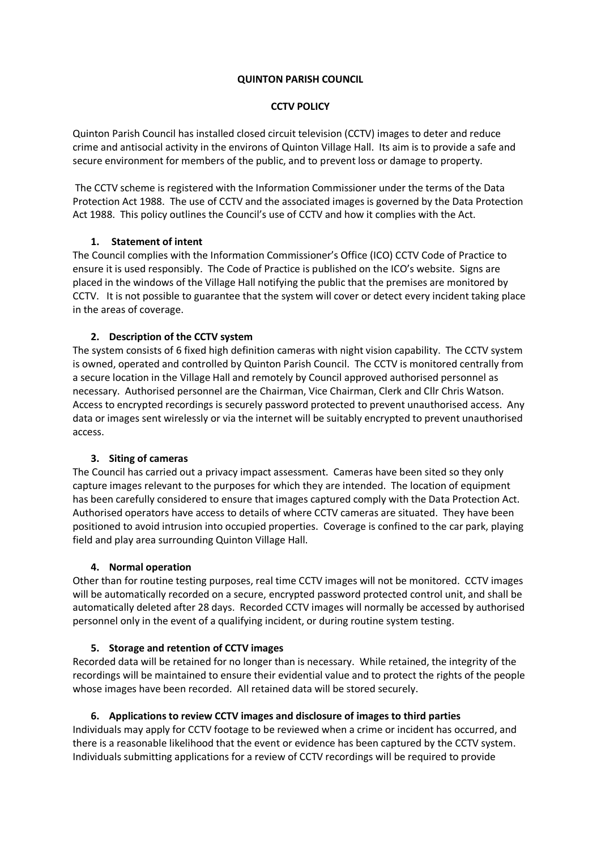### **QUINTON PARISH COUNCIL**

### **CCTV POLICY**

Quinton Parish Council has installed closed circuit television (CCTV) images to deter and reduce crime and antisocial activity in the environs of Quinton Village Hall. Its aim is to provide a safe and secure environment for members of the public, and to prevent loss or damage to property.

The CCTV scheme is registered with the Information Commissioner under the terms of the Data Protection Act 1988. The use of CCTV and the associated images is governed by the Data Protection Act 1988. This policy outlines the Council's use of CCTV and how it complies with the Act.

# **1. Statement of intent**

The Council complies with the Information Commissioner's Office (ICO) CCTV Code of Practice to ensure it is used responsibly. The Code of Practice is published on the ICO's website. Signs are placed in the windows of the Village Hall notifying the public that the premises are monitored by CCTV. It is not possible to guarantee that the system will cover or detect every incident taking place in the areas of coverage.

# **2. Description of the CCTV system**

The system consists of 6 fixed high definition cameras with night vision capability. The CCTV system is owned, operated and controlled by Quinton Parish Council. The CCTV is monitored centrally from a secure location in the Village Hall and remotely by Council approved authorised personnel as necessary. Authorised personnel are the Chairman, Vice Chairman, Clerk and Cllr Chris Watson. Access to encrypted recordings is securely password protected to prevent unauthorised access. Any data or images sent wirelessly or via the internet will be suitably encrypted to prevent unauthorised access.

# **3. Siting of cameras**

The Council has carried out a privacy impact assessment. Cameras have been sited so they only capture images relevant to the purposes for which they are intended. The location of equipment has been carefully considered to ensure that images captured comply with the Data Protection Act. Authorised operators have access to details of where CCTV cameras are situated. They have been positioned to avoid intrusion into occupied properties. Coverage is confined to the car park, playing field and play area surrounding Quinton Village Hall.

#### **4. Normal operation**

Other than for routine testing purposes, real time CCTV images will not be monitored. CCTV images will be automatically recorded on a secure, encrypted password protected control unit, and shall be automatically deleted after 28 days. Recorded CCTV images will normally be accessed by authorised personnel only in the event of a qualifying incident, or during routine system testing.

#### **5. Storage and retention of CCTV images**

Recorded data will be retained for no longer than is necessary. While retained, the integrity of the recordings will be maintained to ensure their evidential value and to protect the rights of the people whose images have been recorded. All retained data will be stored securely.

# **6. Applications to review CCTV images and disclosure of images to third parties**

Individuals may apply for CCTV footage to be reviewed when a crime or incident has occurred, and there is a reasonable likelihood that the event or evidence has been captured by the CCTV system. Individuals submitting applications for a review of CCTV recordings will be required to provide